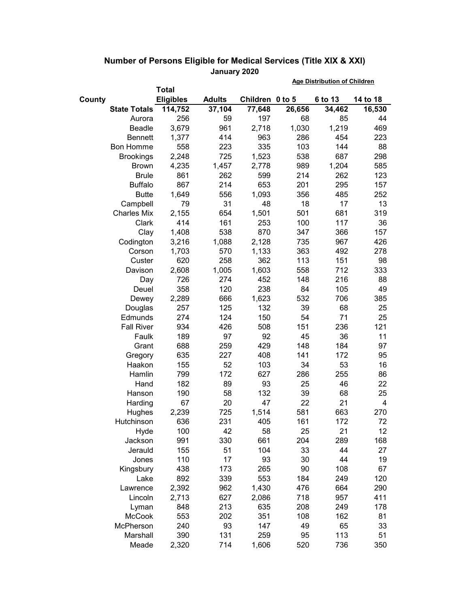|        |                     |                  |               |                 | <b>Age Distribution of Children</b> |         |          |  |
|--------|---------------------|------------------|---------------|-----------------|-------------------------------------|---------|----------|--|
|        |                     | <b>Total</b>     |               |                 |                                     |         |          |  |
| County |                     | <b>Eligibles</b> | <b>Adults</b> | Children 0 to 5 |                                     | 6 to 13 | 14 to 18 |  |
|        | <b>State Totals</b> | 114,752          | 37,104        | 77,648          | 26,656                              | 34,462  | 16,530   |  |
|        | Aurora              | 256              | 59            | 197             | 68                                  | 85      | 44       |  |
|        | Beadle              | 3,679            | 961           | 2,718           | 1,030                               | 1,219   | 469      |  |
|        | <b>Bennett</b>      | 1,377            | 414           | 963             | 286                                 | 454     | 223      |  |
|        | Bon Homme           | 558              | 223           | 335             | 103                                 | 144     | 88       |  |
|        | <b>Brookings</b>    | 2,248            | 725           | 1,523           | 538                                 | 687     | 298      |  |
|        | <b>Brown</b>        | 4,235            | 1,457         | 2,778           | 989                                 | 1,204   | 585      |  |
|        | <b>Brule</b>        | 861              | 262           | 599             | 214                                 | 262     | 123      |  |
|        | <b>Buffalo</b>      | 867              | 214           | 653             | 201                                 | 295     | 157      |  |
|        | <b>Butte</b>        | 1,649            | 556           | 1,093           | 356                                 | 485     | 252      |  |
|        | Campbell            | 79               | 31            | 48              | 18                                  | 17      | 13       |  |
|        | <b>Charles Mix</b>  | 2,155            | 654           | 1,501           | 501                                 | 681     | 319      |  |
|        | Clark               | 414              | 161           | 253             | 100                                 | 117     | 36       |  |
|        | Clay                | 1,408            | 538           | 870             | 347                                 | 366     | 157      |  |
|        | Codington           | 3,216            | 1,088         | 2,128           | 735                                 | 967     | 426      |  |
|        | Corson              | 1,703            | 570           | 1,133           | 363                                 | 492     | 278      |  |
|        | Custer              | 620              | 258           | 362             | 113                                 | 151     | 98       |  |
|        | Davison             | 2,608            | 1,005         | 1,603           | 558                                 | 712     | 333      |  |
|        | Day                 | 726              | 274           | 452             | 148                                 | 216     | 88       |  |
|        | Deuel               | 358              | 120           | 238             | 84                                  | 105     | 49       |  |
|        | Dewey               | 2,289            | 666           | 1,623           | 532                                 | 706     | 385      |  |
|        | Douglas             | 257              | 125           | 132             | 39                                  | 68      | 25       |  |
|        | Edmunds             | 274              | 124           | 150             | 54                                  | 71      | 25       |  |
|        | <b>Fall River</b>   | 934              | 426           | 508             | 151                                 | 236     | 121      |  |
|        | Faulk               | 189              | 97            | 92              | 45                                  | 36      | 11       |  |
|        | Grant               | 688              | 259           | 429             | 148                                 | 184     | 97       |  |
|        | Gregory             | 635              | 227           | 408             | 141                                 | 172     | 95       |  |
|        | Haakon              | 155              | 52            | 103             | 34                                  | 53      | 16       |  |
|        | Hamlin              | 799              | 172           | 627             | 286                                 | 255     | 86       |  |
|        | Hand                | 182              | 89            | 93              | 25                                  | 46      | 22       |  |
|        | Hanson              | 190              | 58            | 132             | 39                                  | 68      | 25       |  |
|        | Harding             | 67               | 20            | 47              | 22                                  | 21      | 4        |  |
|        | Hughes              | 2,239            | 725           | 1,514           | 581                                 | 663     | 270      |  |
|        | Hutchinson          | 636              | 231           | 405             | 161                                 | 172     | 72       |  |
|        | Hyde                | 100              | 42            | 58              | 25                                  | 21      | 12       |  |
|        | Jackson             | 991              | 330           | 661             | 204                                 | 289     | 168      |  |
|        | Jerauld             | 155              | 51            | 104             | 33                                  | 44      | 27       |  |
|        | Jones               | 110              | 17            | 93              | 30                                  | 44      | 19       |  |
|        | Kingsbury           | 438              | 173           | 265             | 90                                  | 108     | 67       |  |
|        | Lake                | 892              | 339           | 553             | 184                                 | 249     | 120      |  |
|        | Lawrence            | 2,392            | 962           | 1,430           | 476                                 | 664     | 290      |  |
|        | Lincoln             | 2,713            | 627           | 2,086           | 718                                 | 957     | 411      |  |
|        | Lyman               | 848              | 213           | 635             | 208                                 | 249     | 178      |  |
|        | <b>McCook</b>       | 553              | 202           | 351             | 108                                 | 162     | 81       |  |
|        | McPherson           | 240              | 93            | 147             | 49                                  | 65      | 33       |  |
|        | Marshall            | 390              | 131           | 259             | 95                                  | 113     | 51       |  |
|        | Meade               | 2,320            | 714           | 1,606           | 520                                 | 736     | 350      |  |

## **Number of Persons Eligible for Medical Services (Title XIX & XXI) January 2020**